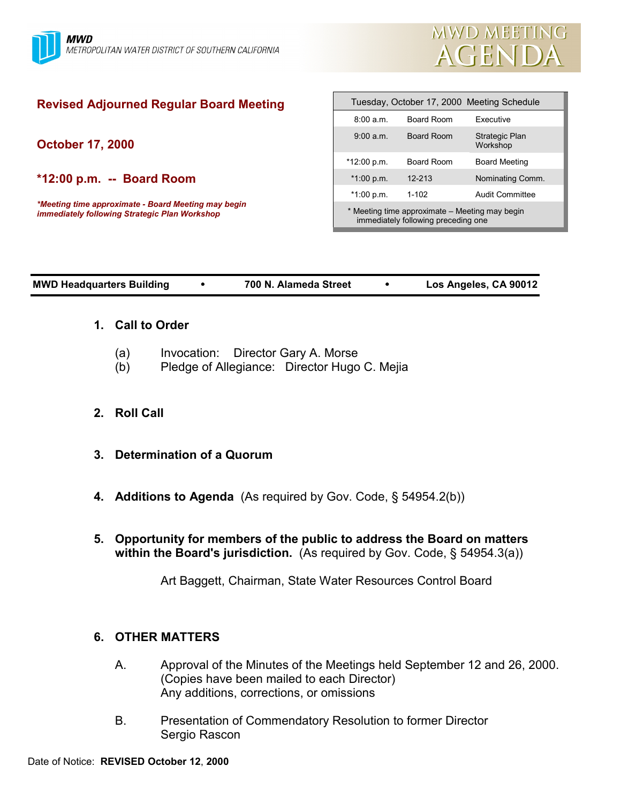

# **Revised Adjourned Regular Board Meeting**

**October 17, 2000**

**\*12:00 p.m. -- Board Room**

*\*Meeting time approximate - Board Meeting may begin immediately following Strategic Plan Workshop*

| Tuesday, October 17, 2000 Meeting Schedule                                            |            |                            |
|---------------------------------------------------------------------------------------|------------|----------------------------|
| $8:00a \, m$                                                                          | Board Room | Executive                  |
| 9.00 a m                                                                              | Board Room | Strategic Plan<br>Workshop |
| $*12:00 p.m.$                                                                         | Board Room | <b>Board Meeting</b>       |
| $*1:00 p.m.$                                                                          | $12 - 213$ | Nominating Comm.           |
| $*1:00 p.m.$                                                                          | $1 - 102$  | Audit Committee            |
| * Meeting time approximate – Meeting may begin<br>immediately following preceding one |            |                            |

**MWD Headquarters Building** ! **700 N. Alameda Street** ! **Los Angeles, CA 90012**

# **1. Call to Order**

- (a) Invocation: Director Gary A. Morse
- (b) Pledge of Allegiance: Director Hugo C. Mejia

# **2. Roll Call**

- **3. Determination of a Quorum**
- **4. Additions to Agenda** (As required by Gov. Code, § 54954.2(b))
- **5. Opportunity for members of the public to address the Board on matters within the Board's jurisdiction.** (As required by Gov. Code, § 54954.3(a))

Art Baggett, Chairman, State Water Resources Control Board

# **6. OTHER MATTERS**

- A. Approval of the Minutes of the Meetings held September 12 and 26, 2000. (Copies have been mailed to each Director) Any additions, corrections, or omissions
- B. Presentation of Commendatory Resolution to former Director Sergio Rascon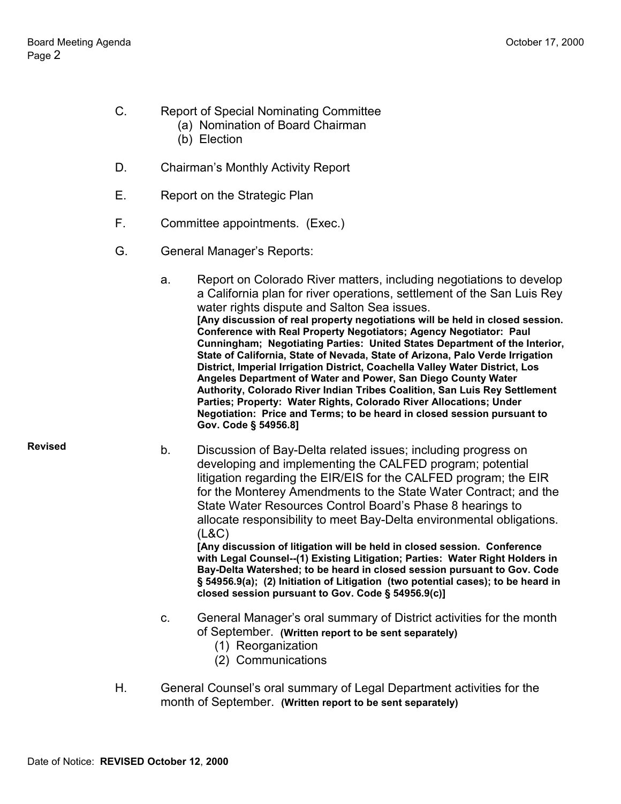- C. Report of Special Nominating Committee
	- (a) Nomination of Board Chairman
		- (b) Election
- D. Chairman's Monthly Activity Report
- E. Report on the Strategic Plan
- F. Committee appointments. (Exec.)
- G. General Manager's Reports:
	- a. Report on Colorado River matters, including negotiations to develop a California plan for river operations, settlement of the San Luis Rey water rights dispute and Salton Sea issues. **[Any discussion of real property negotiations will be held in closed session. Conference with Real Property Negotiators; Agency Negotiator: Paul Cunningham; Negotiating Parties: United States Department of the Interior, State of California, State of Nevada, State of Arizona, Palo Verde Irrigation District, Imperial Irrigation District, Coachella Valley Water District, Los Angeles Department of Water and Power, San Diego County Water Authority, Colorado River Indian Tribes Coalition, San Luis Rey Settlement Parties; Property: Water Rights, Colorado River Allocations; Under Negotiation: Price and Terms; to be heard in closed session pursuant to Gov. Code § 54956.8]**

**Revised**

b. Discussion of Bay-Delta related issues; including progress on developing and implementing the CALFED program; potential litigation regarding the EIR/EIS for the CALFED program; the EIR for the Monterey Amendments to the State Water Contract; and the State Water Resources Control Board's Phase 8 hearings to allocate responsibility to meet Bay-Delta environmental obligations. (L&C)

**[Any discussion of litigation will be held in closed session. Conference with Legal Counsel--(1) Existing Litigation; Parties: Water Right Holders in Bay-Delta Watershed; to be heard in closed session pursuant to Gov. Code § 54956.9(a); (2) Initiation of Litigation (two potential cases); to be heard in closed session pursuant to Gov. Code § 54956.9(c)]**

- c. General Manager's oral summary of District activities for the month of September. **(Written report to be sent separately)**
	- (1) Reorganization
	- (2) Communications
- H. General Counsel's oral summary of Legal Department activities for the month of September. **(Written report to be sent separately)**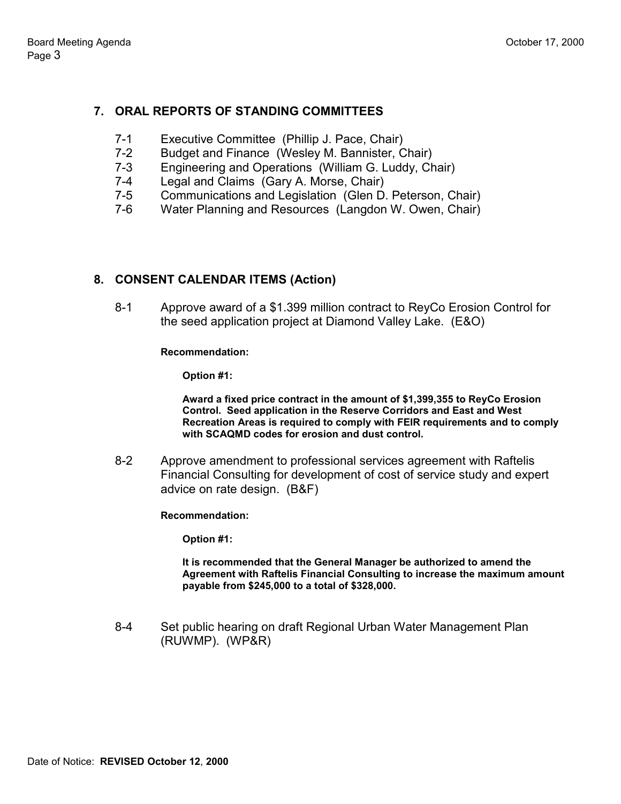# **7. ORAL REPORTS OF STANDING COMMITTEES**

- 7-1 Executive Committee (Phillip J. Pace, Chair)
- 7-2 Budget and Finance (Wesley M. Bannister, Chair)
- 7-3 Engineering and Operations (William G. Luddy, Chair)
- 7-4 Legal and Claims (Gary A. Morse, Chair)
- 7-5 Communications and Legislation (Glen D. Peterson, Chair)
- 7-6 Water Planning and Resources (Langdon W. Owen, Chair)

# **8. CONSENT CALENDAR ITEMS (Action)**

8-1 Approve award of a \$1.399 million contract to ReyCo Erosion Control for the seed application project at Diamond Valley Lake. (E&O)

### **Recommendation:**

**Option #1:**

**Award a fixed price contract in the amount of \$1,399,355 to ReyCo Erosion Control. Seed application in the Reserve Corridors and East and West Recreation Areas is required to comply with FEIR requirements and to comply with SCAQMD codes for erosion and dust control.**

8-2 Approve amendment to professional services agreement with Raftelis Financial Consulting for development of cost of service study and expert advice on rate design. (B&F)

**Recommendation:**

**Option #1:**

**It is recommended that the General Manager be authorized to amend the Agreement with Raftelis Financial Consulting to increase the maximum amount payable from \$245,000 to a total of \$328,000.**

8-4 Set public hearing on draft Regional Urban Water Management Plan (RUWMP). (WP&R)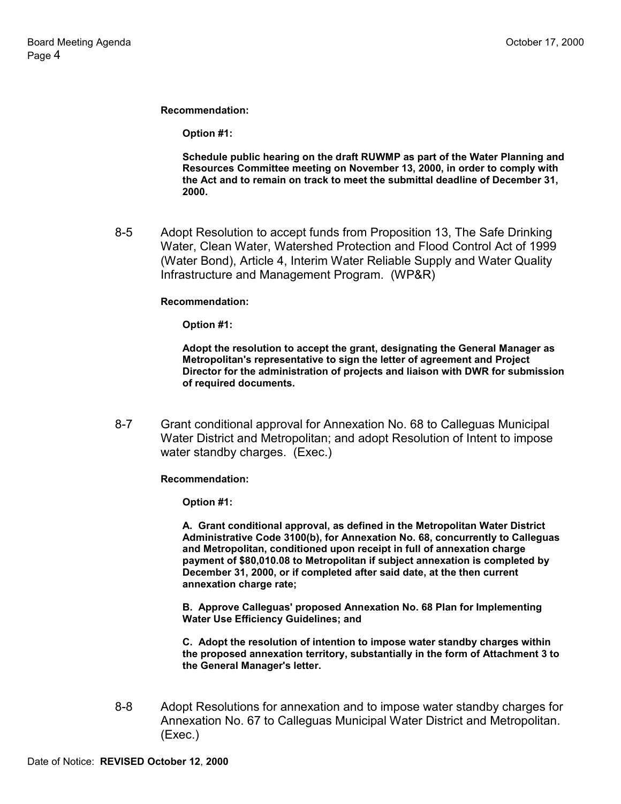**Recommendation:**

**Option #1:**

**Schedule public hearing on the draft RUWMP as part of the Water Planning and Resources Committee meeting on November 13, 2000, in order to comply with the Act and to remain on track to meet the submittal deadline of December 31, 2000.**

8-5 Adopt Resolution to accept funds from Proposition 13, The Safe Drinking Water, Clean Water, Watershed Protection and Flood Control Act of 1999 (Water Bond), Article 4, Interim Water Reliable Supply and Water Quality Infrastructure and Management Program. (WP&R)

#### **Recommendation:**

**Option #1:**

**Adopt the resolution to accept the grant, designating the General Manager as Metropolitan's representative to sign the letter of agreement and Project Director for the administration of projects and liaison with DWR for submission of required documents.**

8-7 Grant conditional approval for Annexation No. 68 to Calleguas Municipal Water District and Metropolitan; and adopt Resolution of Intent to impose water standby charges. (Exec.)

**Recommendation:**

**Option #1:**

**A. Grant conditional approval, as defined in the Metropolitan Water District Administrative Code 3100(b), for Annexation No. 68, concurrently to Calleguas and Metropolitan, conditioned upon receipt in full of annexation charge payment of \$80,010.08 to Metropolitan if subject annexation is completed by December 31, 2000, or if completed after said date, at the then current annexation charge rate;**

**B. Approve Calleguas' proposed Annexation No. 68 Plan for Implementing Water Use Efficiency Guidelines; and**

**C. Adopt the resolution of intention to impose water standby charges within the proposed annexation territory, substantially in the form of Attachment 3 to the General Manager's letter.**

8-8 Adopt Resolutions for annexation and to impose water standby charges for Annexation No. 67 to Calleguas Municipal Water District and Metropolitan. (Exec.)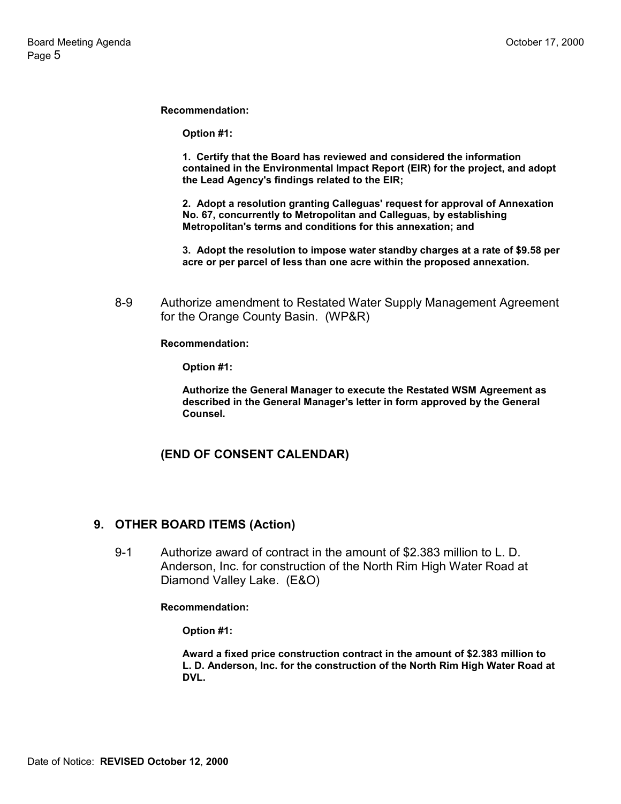**Recommendation:**

**Option #1:**

**1. Certify that the Board has reviewed and considered the information contained in the Environmental Impact Report (EIR) for the project, and adopt the Lead Agency's findings related to the EIR;**

**2. Adopt a resolution granting Calleguas' request for approval of Annexation No. 67, concurrently to Metropolitan and Calleguas, by establishing Metropolitan's terms and conditions for this annexation; and**

**3. Adopt the resolution to impose water standby charges at a rate of \$9.58 per acre or per parcel of less than one acre within the proposed annexation.**

8-9 Authorize amendment to Restated Water Supply Management Agreement for the Orange County Basin. (WP&R)

**Recommendation:**

**Option #1:**

**Authorize the General Manager to execute the Restated WSM Agreement as described in the General Manager's letter in form approved by the General Counsel.**

### **(END OF CONSENT CALENDAR)**

### **9. OTHER BOARD ITEMS (Action)**

9-1 Authorize award of contract in the amount of \$2.383 million to L. D. Anderson, Inc. for construction of the North Rim High Water Road at Diamond Valley Lake. (E&O)

**Recommendation:**

**Option #1:**

**Award a fixed price construction contract in the amount of \$2.383 million to L. D. Anderson, Inc. for the construction of the North Rim High Water Road at DVL.**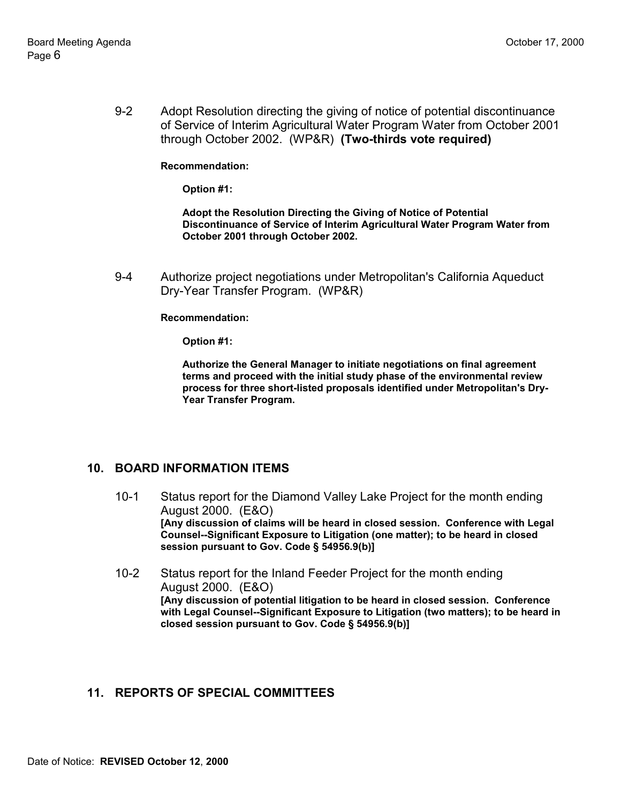9-2 Adopt Resolution directing the giving of notice of potential discontinuance of Service of Interim Agricultural Water Program Water from October 2001 through October 2002. (WP&R) **(Two-thirds vote required)**

#### **Recommendation:**

**Option #1:**

**Adopt the Resolution Directing the Giving of Notice of Potential Discontinuance of Service of Interim Agricultural Water Program Water from October 2001 through October 2002.**

9-4 Authorize project negotiations under Metropolitan's California Aqueduct Dry-Year Transfer Program. (WP&R)

#### **Recommendation:**

**Option #1:**

**Authorize the General Manager to initiate negotiations on final agreement terms and proceed with the initial study phase of the environmental review process for three short-listed proposals identified under Metropolitan's Dry-Year Transfer Program.**

### **10. BOARD INFORMATION ITEMS**

- 10-1 Status report for the Diamond Valley Lake Project for the month ending August 2000. (E&O) **[Any discussion of claims will be heard in closed session. Conference with Legal Counsel--Significant Exposure to Litigation (one matter); to be heard in closed session pursuant to Gov. Code § 54956.9(b)]**
- 10-2 Status report for the Inland Feeder Project for the month ending August 2000. (E&O) **[Any discussion of potential litigation to be heard in closed session. Conference with Legal Counsel--Significant Exposure to Litigation (two matters); to be heard in closed session pursuant to Gov. Code § 54956.9(b)]**

# **11. REPORTS OF SPECIAL COMMITTEES**